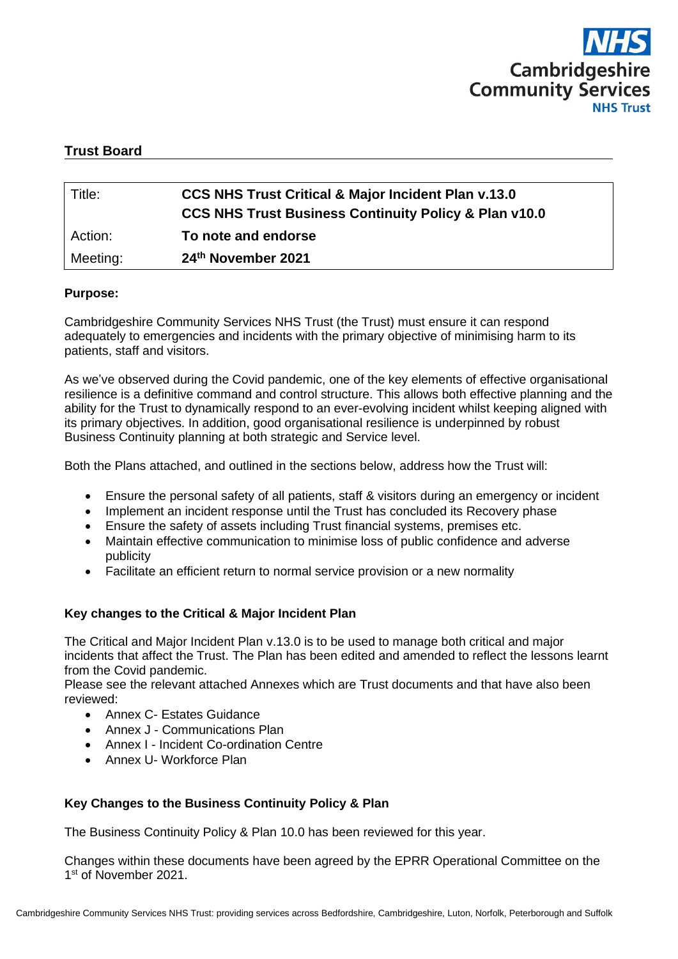

# **Trust Board**

| Title:   | <b>CCS NHS Trust Critical &amp; Major Incident Plan v.13.0</b>   |
|----------|------------------------------------------------------------------|
|          | <b>CCS NHS Trust Business Continuity Policy &amp; Plan v10.0</b> |
| Action:  | To note and endorse                                              |
| Meeting: | 24th November 2021                                               |

#### **Purpose:**

Cambridgeshire Community Services NHS Trust (the Trust) must ensure it can respond adequately to emergencies and incidents with the primary objective of minimising harm to its patients, staff and visitors.

As we've observed during the Covid pandemic, one of the key elements of effective organisational resilience is a definitive command and control structure. This allows both effective planning and the ability for the Trust to dynamically respond to an ever-evolving incident whilst keeping aligned with its primary objectives. In addition, good organisational resilience is underpinned by robust Business Continuity planning at both strategic and Service level.

Both the Plans attached, and outlined in the sections below, address how the Trust will:

- Ensure the personal safety of all patients, staff & visitors during an emergency or incident
- Implement an incident response until the Trust has concluded its Recovery phase
- Ensure the safety of assets including Trust financial systems, premises etc.
- Maintain effective communication to minimise loss of public confidence and adverse publicity
- Facilitate an efficient return to normal service provision or a new normality

#### **Key changes to the Critical & Major Incident Plan**

The Critical and Major Incident Plan v.13.0 is to be used to manage both critical and major incidents that affect the Trust. The Plan has been edited and amended to reflect the lessons learnt from the Covid pandemic.

Please see the relevant attached Annexes which are Trust documents and that have also been reviewed:

- Annex C- Estates Guidance
- Annex J Communications Plan
- Annex I Incident Co-ordination Centre
- Annex U- Workforce Plan

# **Key Changes to the Business Continuity Policy & Plan**

The Business Continuity Policy & Plan 10.0 has been reviewed for this year.

Changes within these documents have been agreed by the EPRR Operational Committee on the 1st of November 2021.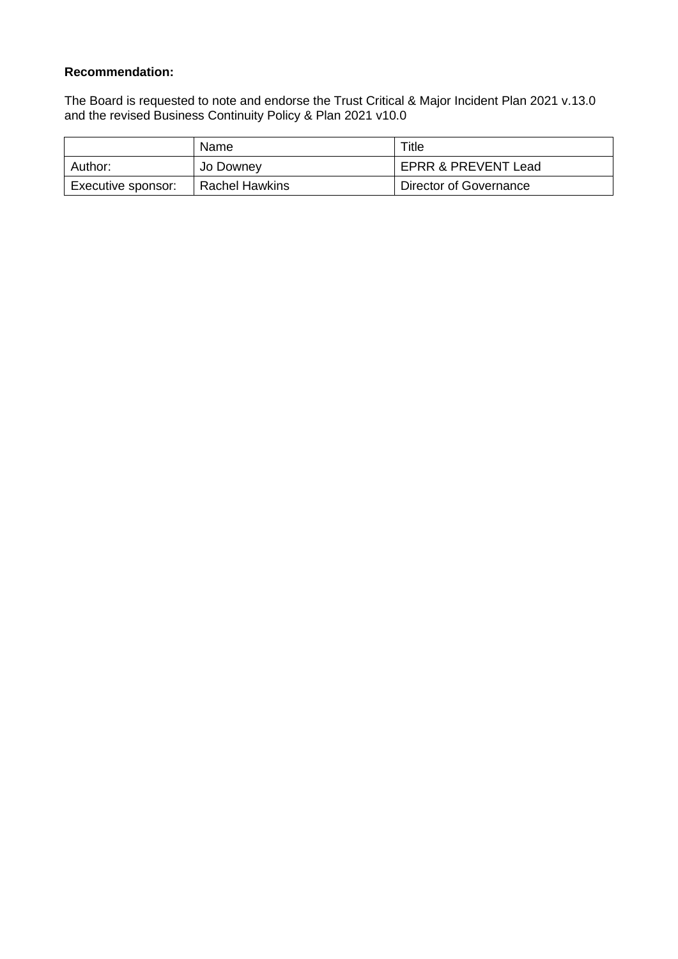# **Recommendation:**

The Board is requested to note and endorse the Trust Critical & Major Incident Plan 2021 v.13.0 and the revised Business Continuity Policy & Plan 2021 v10.0

|                    | Name                  | Title                  |
|--------------------|-----------------------|------------------------|
| Author:            | Jo Downey             | EPRR & PREVENT Lead    |
| Executive sponsor: | <b>Rachel Hawkins</b> | Director of Governance |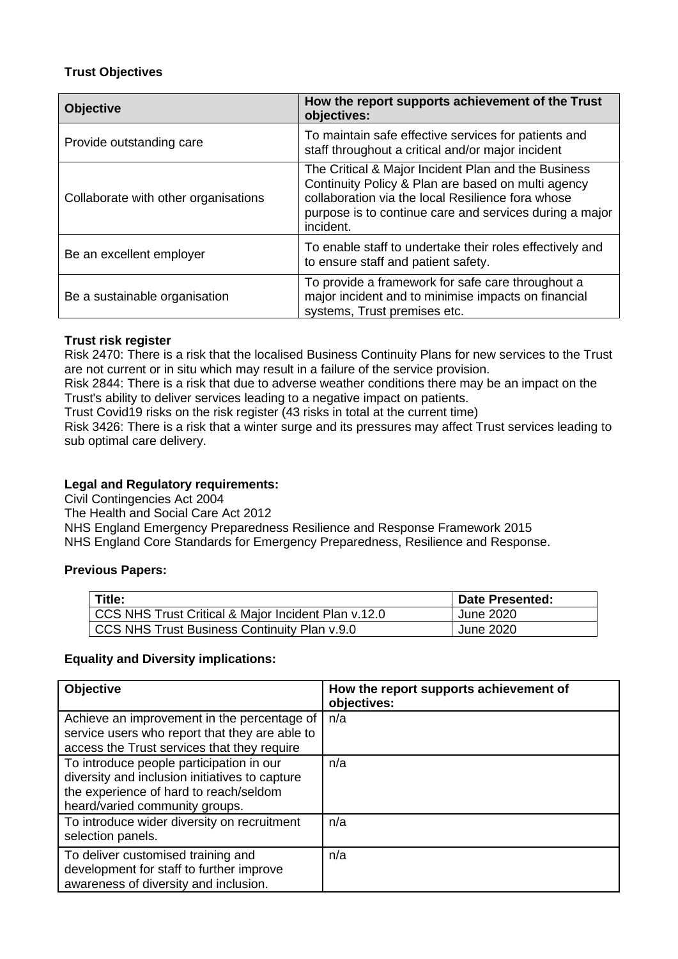# **Trust Objectives**

| <b>Objective</b>                     | How the report supports achievement of the Trust<br>objectives:                                                                                                                                                                        |  |  |  |
|--------------------------------------|----------------------------------------------------------------------------------------------------------------------------------------------------------------------------------------------------------------------------------------|--|--|--|
| Provide outstanding care             | To maintain safe effective services for patients and<br>staff throughout a critical and/or major incident                                                                                                                              |  |  |  |
| Collaborate with other organisations | The Critical & Major Incident Plan and the Business<br>Continuity Policy & Plan are based on multi agency<br>collaboration via the local Resilience fora whose<br>purpose is to continue care and services during a major<br>incident. |  |  |  |
| Be an excellent employer             | To enable staff to undertake their roles effectively and<br>to ensure staff and patient safety.                                                                                                                                        |  |  |  |
| Be a sustainable organisation        | To provide a framework for safe care throughout a<br>major incident and to minimise impacts on financial<br>systems, Trust premises etc.                                                                                               |  |  |  |

### **Trust risk register**

Risk 2470: There is a risk that the localised Business Continuity Plans for new services to the Trust are not current or in situ which may result in a failure of the service provision.

Risk 2844: There is a risk that due to adverse weather conditions there may be an impact on the Trust's ability to deliver services leading to a negative impact on patients.

Trust Covid19 risks on the risk register (43 risks in total at the current time)

Risk 3426: There is a risk that a winter surge and its pressures may affect Trust services leading to sub optimal care delivery.

### **Legal and Regulatory requirements:**

Civil Contingencies Act 2004

The Health and Social Care Act 2012

NHS England Emergency Preparedness Resilience and Response Framework 2015

NHS England Core Standards for Emergency Preparedness, Resilience and Response.

### **Previous Papers:**

| Title:                                              | <b>Date Presented:</b> |
|-----------------------------------------------------|------------------------|
| CCS NHS Trust Critical & Major Incident Plan v.12.0 | June 2020              |
| CCS NHS Trust Business Continuity Plan v.9.0        | June 2020              |

#### **Equality and Diversity implications:**

| <b>Objective</b>                                                                                                                                                       | How the report supports achievement of<br>objectives: |
|------------------------------------------------------------------------------------------------------------------------------------------------------------------------|-------------------------------------------------------|
| Achieve an improvement in the percentage of<br>service users who report that they are able to<br>access the Trust services that they require                           | n/a                                                   |
| To introduce people participation in our<br>diversity and inclusion initiatives to capture<br>the experience of hard to reach/seldom<br>heard/varied community groups. | n/a                                                   |
| To introduce wider diversity on recruitment<br>selection panels.                                                                                                       | n/a                                                   |
| To deliver customised training and<br>development for staff to further improve<br>awareness of diversity and inclusion.                                                | n/a                                                   |